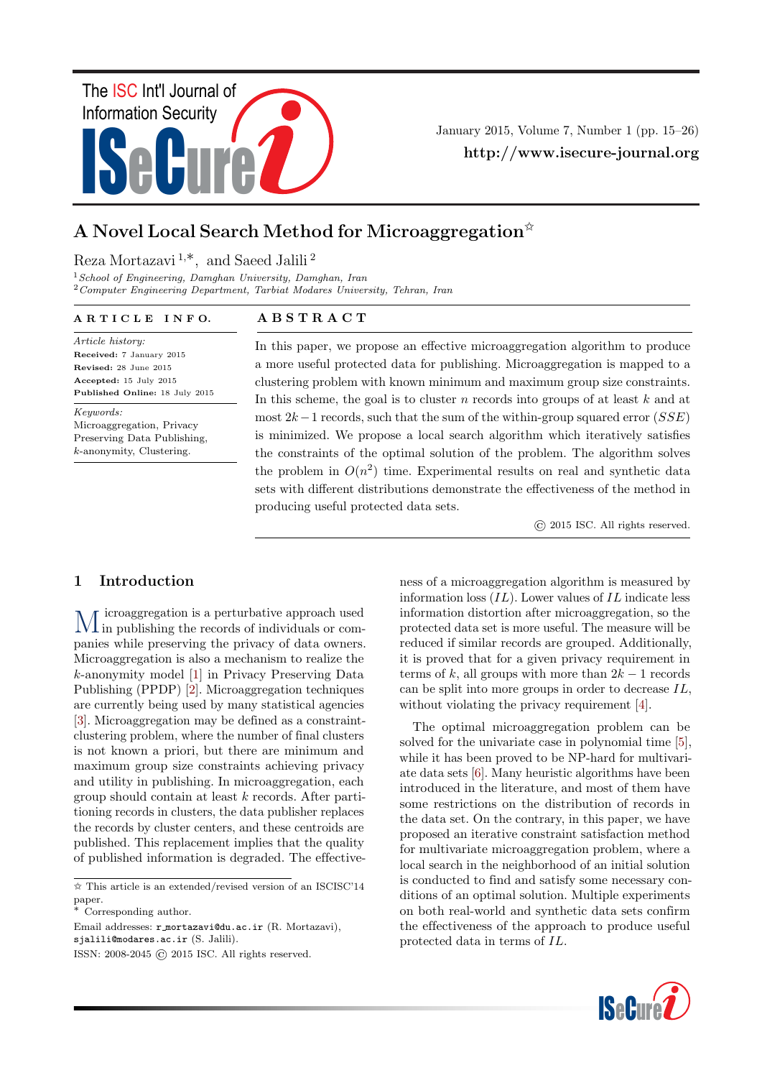

January 2015, Volume 7, Number 1 (pp. 15–26) http://www.isecure-journal.org

# A Novel Local Search Method for Microaggregation  $*$

## Reza Mortazavi <sup>1</sup>,∗, and Saeed Jalili <sup>2</sup>

 $1$ School of Engineering, Damghan University, Damghan, Iran <sup>2</sup>Computer Engineering Department, Tarbiat Modares University, Tehran, Iran

#### A R T I C L E I N F O.

Article history: Received: 7 January 2015 Revised: 28 June 2015 Accepted: 15 July 2015 Published Online: 18 July 2015

Keywords:

Microaggregation, Privacy Preserving Data Publishing, k-anonymity, Clustering.

## A B S T R A C T

In this paper, we propose an effective microaggregation algorithm to produce a more useful protected data for publishing. Microaggregation is mapped to a clustering problem with known minimum and maximum group size constraints. In this scheme, the goal is to cluster  $n$  records into groups of at least  $k$  and at most  $2k-1$  records, such that the sum of the within-group squared error (SSE) is minimized. We propose a local search algorithm which iteratively satisfies the constraints of the optimal solution of the problem. The algorithm solves the problem in  $O(n^2)$  time. Experimental results on real and synthetic data sets with different distributions demonstrate the effectiveness of the method in producing useful protected data sets.

© 2015 ISC. All rights reserved.

## 1 Introduction

M in publishing the records of individuals or comicroaggregation is a perturbative approach used panies while preserving the privacy of data owners. Microaggregation is also a mechanism to realize the k-anonymity model [\[1\]](#page-10-0) in Privacy Preserving Data Publishing (PPDP) [\[2\]](#page-10-1). Microaggregation techniques are currently being used by many statistical agencies [\[3\]](#page-10-2). Microaggregation may be defined as a constraintclustering problem, where the number of final clusters is not known a priori, but there are minimum and maximum group size constraints achieving privacy and utility in publishing. In microaggregation, each group should contain at least k records. After partitioning records in clusters, the data publisher replaces the records by cluster centers, and these centroids are published. This replacement implies that the quality of published information is degraded. The effective-

Email addresses: r mortazavi@du.ac.ir (R. Mortazavi), sjalili@modares.ac.ir (S. Jalili).

ness of a microaggregation algorithm is measured by information loss  $(IL)$ . Lower values of  $IL$  indicate less information distortion after microaggregation, so the protected data set is more useful. The measure will be reduced if similar records are grouped. Additionally, it is proved that for a given privacy requirement in terms of k, all groups with more than  $2k-1$  records can be split into more groups in order to decrease IL, without violating the privacy requirement [\[4\]](#page-10-3).

The optimal microaggregation problem can be solved for the univariate case in polynomial time [\[5\]](#page-10-4), while it has been proved to be NP-hard for multivariate data sets [\[6\]](#page-10-5). Many heuristic algorithms have been introduced in the literature, and most of them have some restrictions on the distribution of records in the data set. On the contrary, in this paper, we have proposed an iterative constraint satisfaction method for multivariate microaggregation problem, where a local search in the neighborhood of an initial solution is conducted to find and satisfy some necessary conditions of an optimal solution. Multiple experiments on both real-world and synthetic data sets confirm the effectiveness of the approach to produce useful protected data in terms of IL.



<sup>✩</sup> This article is an extended/revised version of an ISCISC'14 paper.

<sup>∗</sup> Corresponding author.

ISSN: 2008-2045 © 2015 ISC. All rights reserved.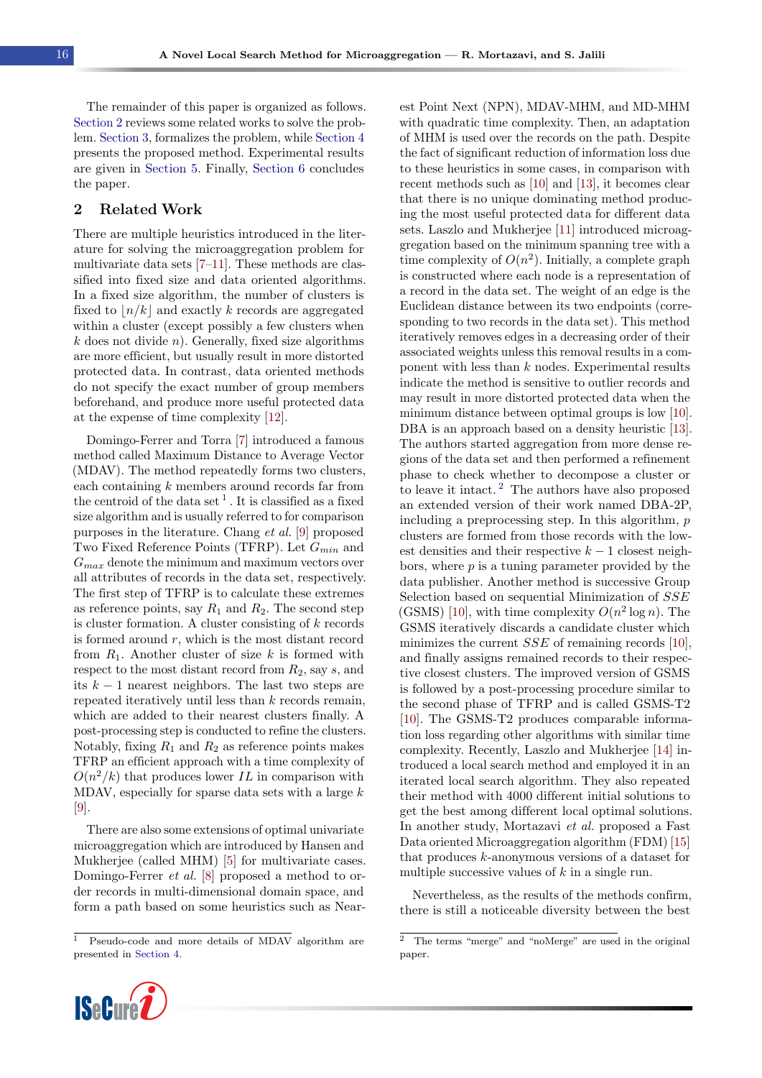The remainder of this paper is organized as follows. [Section 2](#page-1-0) reviews some related works to solve the problem. [Section 3,](#page-2-0) formalizes the problem, while [Section 4](#page-2-1) presents the proposed method. Experimental results are given in [Section 5.](#page-8-0) Finally, [Section 6](#page-9-0) concludes the paper.

## <span id="page-1-0"></span>2 Related Work

There are multiple heuristics introduced in the literature for solving the microaggregation problem for multivariate data sets [\[7–](#page-10-6)[11\]](#page-10-7). These methods are classified into fixed size and data oriented algorithms. In a fixed size algorithm, the number of clusters is fixed to  $\lfloor n/k \rfloor$  and exactly k records are aggregated within a cluster (except possibly a few clusters when  $k$  does not divide n). Generally, fixed size algorithms are more efficient, but usually result in more distorted protected data. In contrast, data oriented methods do not specify the exact number of group members beforehand, and produce more useful protected data at the expense of time complexity [\[12\]](#page-10-8).

Domingo-Ferrer and Torra [\[7\]](#page-10-6) introduced a famous method called Maximum Distance to Average Vector (MDAV). The method repeatedly forms two clusters, each containing  $k$  members around records far from the centroid of the data set  $^1$  $^1$ . It is classified as a fixed size algorithm and is usually referred to for comparison purposes in the literature. Chang et al. [\[9\]](#page-10-9) proposed Two Fixed Reference Points (TFRP). Let  $G_{min}$  and  $G_{max}$  denote the minimum and maximum vectors over all attributes of records in the data set, respectively. The first step of TFRP is to calculate these extremes as reference points, say  $R_1$  and  $R_2$ . The second step is cluster formation. A cluster consisting of  $k$  records is formed around  $r$ , which is the most distant record from  $R_1$ . Another cluster of size k is formed with respect to the most distant record from  $R_2$ , say s, and its  $k-1$  nearest neighbors. The last two steps are repeated iteratively until less than  $k$  records remain, which are added to their nearest clusters finally. A post-processing step is conducted to refine the clusters. Notably, fixing  $R_1$  and  $R_2$  as reference points makes TFRP an efficient approach with a time complexity of  $O(n^2/k)$  that produces lower IL in comparison with MDAV, especially for sparse data sets with a large  $k$ [\[9\]](#page-10-9).

There are also some extensions of optimal univariate microaggregation which are introduced by Hansen and Mukherjee (called MHM) [\[5\]](#page-10-4) for multivariate cases. Domingo-Ferrer et al. [\[8\]](#page-10-10) proposed a method to order records in multi-dimensional domain space, and form a path based on some heuristics such as Near-

<sup>1</sup> Pseudo-code and more details of MDAV algorithm are presented in [Section 4.](#page-2-1)



Nevertheless, as the results of the methods confirm, there is still a noticeable diversity between the best

<span id="page-1-1"></span>

<span id="page-1-2"></span><sup>2</sup> The terms "merge" and "noMerge" are used in the original paper.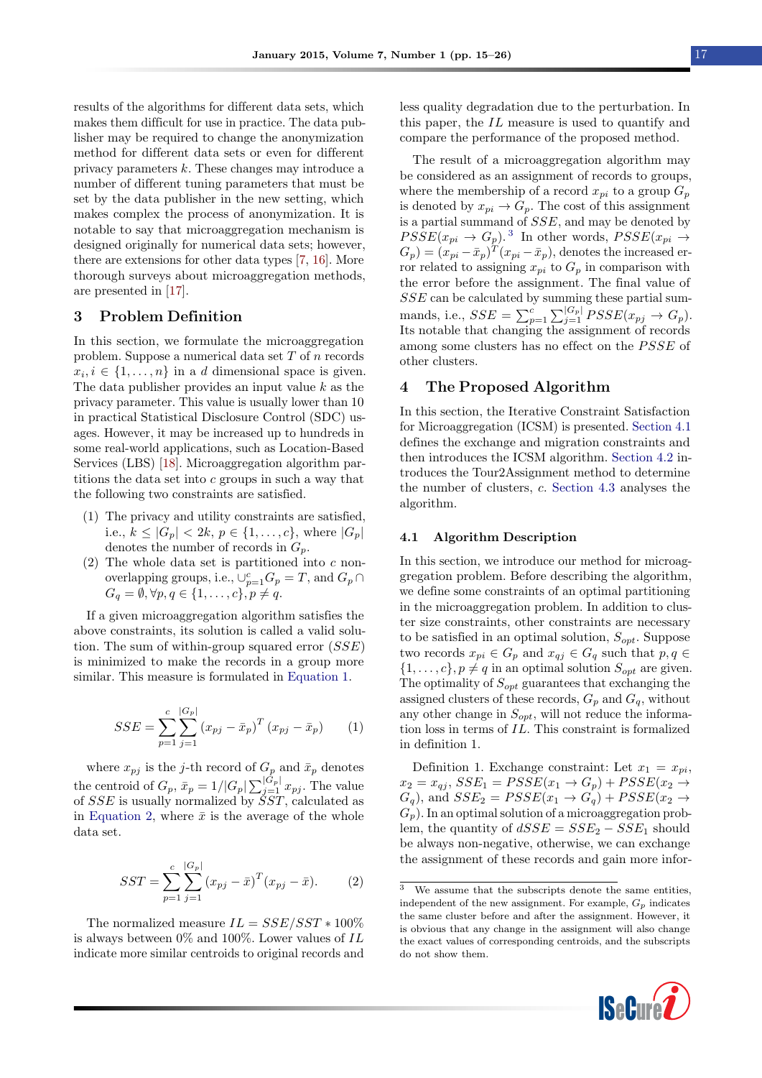results of the algorithms for different data sets, which makes them difficult for use in practice. The data publisher may be required to change the anonymization method for different data sets or even for different privacy parameters k. These changes may introduce a number of different tuning parameters that must be set by the data publisher in the new setting, which makes complex the process of anonymization. It is notable to say that microaggregation mechanism is designed originally for numerical data sets; however, there are extensions for other data types [\[7,](#page-10-6) [16\]](#page-10-15). More thorough surveys about microaggregation methods, are presented in [\[17\]](#page-10-16).

## <span id="page-2-0"></span>3 Problem Definition

In this section, we formulate the microaggregation problem. Suppose a numerical data set  $T$  of  $n$  records  $x_i, i \in \{1, \ldots, n\}$  in a d dimensional space is given. The data publisher provides an input value  $k$  as the privacy parameter. This value is usually lower than 10 in practical Statistical Disclosure Control (SDC) usages. However, it may be increased up to hundreds in some real-world applications, such as Location-Based Services (LBS) [\[18\]](#page-11-0). Microaggregation algorithm partitions the data set into  $c$  groups in such a way that the following two constraints are satisfied.

- (1) The privacy and utility constraints are satisfied, i.e.,  $k \leq |G_p| < 2k, p \in \{1, ..., c\}$ , where  $|G_p|$ denotes the number of records in  $G_p$ .
- (2) The whole data set is partitioned into  $c$  nonoverlapping groups, i.e.,  $\bigcup_{p=1}^{c} G_p = T$ , and  $G_p \cap$  $G_q = \emptyset, \forall p, q \in \{1, \ldots, c\}, p \neq q.$

If a given microaggregation algorithm satisfies the above constraints, its solution is called a valid solution. The sum of within-group squared error  $(SSE)$ is minimized to make the records in a group more similar. This measure is formulated in [Equation 1.](#page-2-2)

<span id="page-2-2"></span>
$$
SSE = \sum_{p=1}^{c} \sum_{j=1}^{|G_p|} (x_{pj} - \bar{x}_p)^T (x_{pj} - \bar{x}_p)
$$
 (1)

where  $x_{pj}$  is the j-th record of  $G_p$  and  $\bar{x}_p$  denotes the centroid of  $G_p$ ,  $\bar{x}_p = 1/|G_p| \sum_{j=1}^{|G_p|} x_{pj}$ . The value of  $SSE$  is usually normalized by  $\tilde{S}ST$ , calculated as in [Equation 2,](#page-2-3) where  $\bar{x}$  is the average of the whole data set.

<span id="page-2-3"></span>
$$
SST = \sum_{p=1}^{c} \sum_{j=1}^{|G_p|} (x_{pj} - \bar{x})^T (x_{pj} - \bar{x}).
$$
 (2)

The normalized measure  $IL = SSE/SST * 100\%$ is always between  $0\%$  and  $100\%$ . Lower values of IL indicate more similar centroids to original records and

less quality degradation due to the perturbation. In this paper, the IL measure is used to quantify and compare the performance of the proposed method.

The result of a microaggregation algorithm may be considered as an assignment of records to groups, where the membership of a record  $x_{pi}$  to a group  $G_p$ is denoted by  $x_{pi} \rightarrow G_p$ . The cost of this assignment is a partial summand of SSE, and may be denoted by  $PSSE(x_{pi} \rightarrow G_p)$ .<sup>[3](#page-2-4)</sup> In other words,  $PSSE(x_{pi} \rightarrow G_p)$  $(G_p) = (x_{pi} - \bar{x}_p)^T (x_{pi} - \bar{x}_p)$ , denotes the increased error related to assigning  $x_{pi}$  to  $G_p$  in comparison with the error before the assignment. The final value of SSE can be calculated by summing these partial summands, i.e.,  $SSE = \sum_{p=1}^{c} \sum_{j=1}^{|G_p|} PSSE(x_{pj} \rightarrow G_p)$ . Its notable that changing the assignment of records among some clusters has no effect on the  $P SSE$  of other clusters.

## <span id="page-2-1"></span>4 The Proposed Algorithm

In this section, the Iterative Constraint Satisfaction for Microaggregation (ICSM) is presented. [Section 4.1](#page-2-5) defines the exchange and migration constraints and then introduces the ICSM algorithm. [Section 4.2](#page-6-0) introduces the Tour2Assignment method to determine the number of clusters, c. [Section 4.3](#page-7-0) analyses the algorithm.

#### <span id="page-2-5"></span>4.1 Algorithm Description

In this section, we introduce our method for microaggregation problem. Before describing the algorithm, we define some constraints of an optimal partitioning in the microaggregation problem. In addition to cluster size constraints, other constraints are necessary to be satisfied in an optimal solution,  $S_{opt}$ . Suppose two records  $x_{pi} \in G_p$  and  $x_{qj} \in G_q$  such that  $p, q \in G$  $\{1, \ldots, c\}, p \neq q$  in an optimal solution  $S_{opt}$  are given. The optimality of  $S_{opt}$  guarantees that exchanging the assigned clusters of these records,  $G_p$  and  $G_q$ , without any other change in  $S_{opt}$ , will not reduce the information loss in terms of IL. This constraint is formalized in definition 1.

Definition 1. Exchange constraint: Let  $x_1 = x_{pi}$ ,  $x_2 = x_{qj}, \, SSE_1 = PSSE(x_1 \rightarrow G_p) + PSSE(x_2 \rightarrow G_p)$  $G_q$ ), and  $SSE_2 = PSSE(x_1 \rightarrow G_q) + PSSE(x_2 \rightarrow G_q)$  $G_p$ ). In an optimal solution of a microaggregation problem, the quantity of  $dSSE = SSE_2 - SSE_1$  should be always non-negative, otherwise, we can exchange the assignment of these records and gain more infor-

<span id="page-2-4"></span> $\overline{3}$  We assume that the subscripts denote the same entities, independent of the new assignment. For example,  $G_p$  indicates the same cluster before and after the assignment. However, it is obvious that any change in the assignment will also change the exact values of corresponding centroids, and the subscripts do not show them.

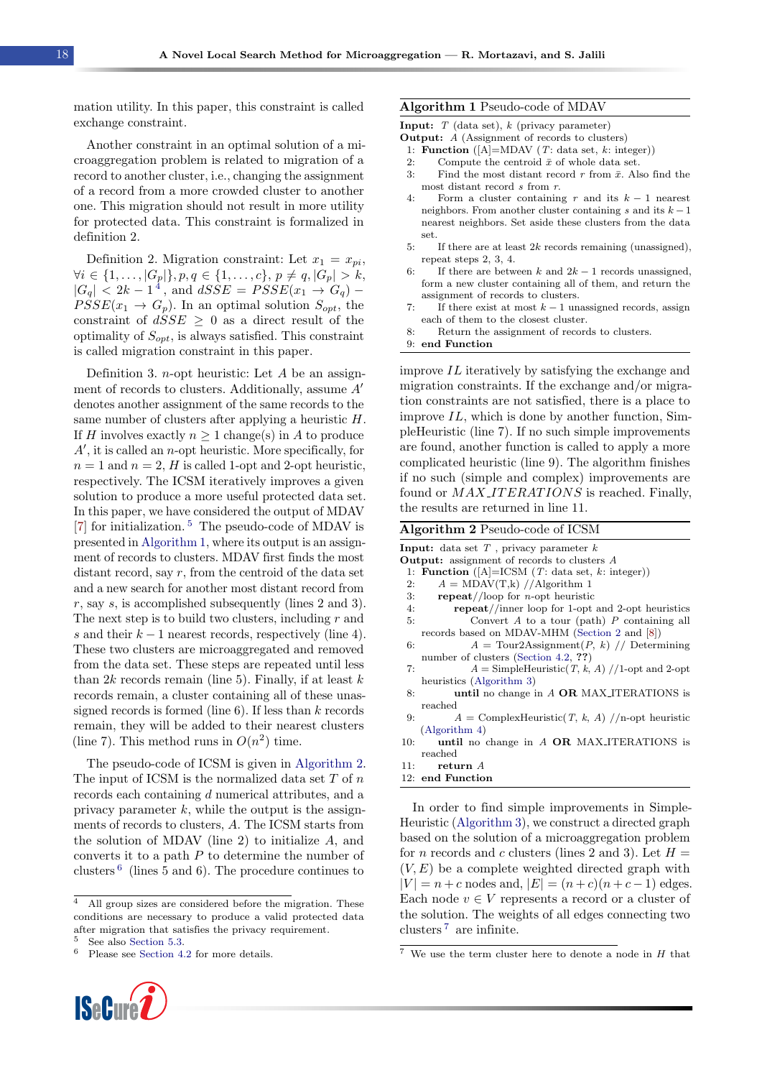mation utility. In this paper, this constraint is called exchange constraint.

Another constraint in an optimal solution of a microaggregation problem is related to migration of a record to another cluster, i.e., changing the assignment of a record from a more crowded cluster to another one. This migration should not result in more utility for protected data. This constraint is formalized in definition 2.

Definition 2. Migration constraint: Let  $x_1 = x_{pi}$ ,  $\forall i \in \{1, \ldots, |G_p|\}, p, q \in \{1, \ldots, c\}, p \neq q, |G_p| > k,$  $|G_q|$  < 2k – 1<sup>[4](#page-3-0)</sup>, and  $dSSE = PSSE(x_1 \rightarrow G_q)$  –  $\overline{PSSE}(x_1 \rightarrow G_p)$ . In an optimal solution  $S_{opt}$ , the constraint of  $dSSE \geq 0$  as a direct result of the optimality of  $S_{opt}$ , is always satisfied. This constraint is called migration constraint in this paper.

Definition 3. *n*-opt heuristic: Let  $A$  be an assignment of records to clusters. Additionally, assume  $A'$ denotes another assignment of the same records to the same number of clusters after applying a heuristic H. If H involves exactly  $n \geq 1$  change(s) in A to produce  $A'$ , it is called an *n*-opt heuristic. More specifically, for  $n = 1$  and  $n = 2$ , H is called 1-opt and 2-opt heuristic, respectively. The ICSM iteratively improves a given solution to produce a more useful protected data set. In this paper, we have considered the output of MDAV [\[7\]](#page-10-6) for initialization. [5](#page-3-1) The pseudo-code of MDAV is presented in [Algorithm 1,](#page-3-2) where its output is an assignment of records to clusters. MDAV first finds the most distant record, say  $r$ , from the centroid of the data set and a new search for another most distant record from r, say s, is accomplished subsequently (lines 2 and 3). The next step is to build two clusters, including  $r$  and s and their  $k-1$  nearest records, respectively (line 4). These two clusters are microaggregated and removed from the data set. These steps are repeated until less than  $2k$  records remain (line 5). Finally, if at least  $k$ records remain, a cluster containing all of these unassigned records is formed (line  $6$ ). If less than k records remain, they will be added to their nearest clusters (line 7). This method runs in  $O(n^2)$  time.

The pseudo-code of ICSM is given in [Algorithm 2.](#page-3-3) The input of ICSM is the normalized data set  $T$  of  $n$ records each containing d numerical attributes, and a privacy parameter  $k$ , while the output is the assignments of records to clusters, A. The ICSM starts from the solution of MDAV (line 2) to initialize  $A$ , and converts it to a path  $P$  to determine the number of clusters [6](#page-3-4) (lines 5 and 6). The procedure continues to

<sup>6</sup> Please see [Section 4.2](#page-6-0) for more details.



#### <span id="page-3-2"></span>Algorithm 1 Pseudo-code of MDAV

|  |  |  |  | <b>Input:</b> $T$ (data set), $k$ (privacy parameter) |  |
|--|--|--|--|-------------------------------------------------------|--|
|--|--|--|--|-------------------------------------------------------|--|

- Output: A (Assignment of records to clusters)
- 1: **Function** ( $[A] = MDAV$  (*T*: data set, *k*: integer))
- 2: Compute the centroid  $\bar{x}$  of whole data set.
- 3: Find the most distant record r from  $\bar{x}$ . Also find the most distant record  $s$  from  $r$ .
- 4: Form a cluster containing r and its  $k 1$  nearest neighbors. From another cluster containing s and its  $k - 1$ nearest neighbors. Set aside these clusters from the data set.
- 5: If there are at least  $2k$  records remaining (unassigned), repeat steps 2, 3, 4.
- 6: If there are between k and  $2k 1$  records unassigned, form a new cluster containing all of them, and return the assignment of records to clusters.
- 7: If there exist at most  $k 1$  unassigned records, assign each of them to the closest cluster.
- 8: Return the assignment of records to clusters.

9: end Function

improve IL iteratively by satisfying the exchange and migration constraints. If the exchange and/or migration constraints are not satisfied, there is a place to improve  $IL$ , which is done by another function, SimpleHeuristic (line 7). If no such simple improvements are found, another function is called to apply a more complicated heuristic (line 9). The algorithm finishes if no such (simple and complex) improvements are found or  $MAX \textit{\_ITERATIONS}$  is reached. Finally, the results are returned in line 11.

<span id="page-3-3"></span>Algorithm 2 Pseudo-code of ICSM

| <b>Output:</b> assignment of records to clusters A<br>1: Function ( $[A]$ =ICSM ( <i>T</i> : data set, <i>k</i> : integer))<br>$A = \text{MDAV}(T,k)$ //Algorithm 1<br>2:<br><b>repeat</b> //loop for <i>n</i> -opt heuristic<br>3.<br>4:<br>$\mathbf{repeat}//inner$ loop for 1-opt and 2-opt heuristics<br>Convert A to a tour (path) P containing all<br>5: |  |
|----------------------------------------------------------------------------------------------------------------------------------------------------------------------------------------------------------------------------------------------------------------------------------------------------------------------------------------------------------------|--|
|                                                                                                                                                                                                                                                                                                                                                                |  |
|                                                                                                                                                                                                                                                                                                                                                                |  |
|                                                                                                                                                                                                                                                                                                                                                                |  |
|                                                                                                                                                                                                                                                                                                                                                                |  |
|                                                                                                                                                                                                                                                                                                                                                                |  |
|                                                                                                                                                                                                                                                                                                                                                                |  |
| records based on MDAV-MHM (Section 2 and [8])                                                                                                                                                                                                                                                                                                                  |  |
| $A = \text{Tour2Assignment}(P, k)$ // Determining<br>6:                                                                                                                                                                                                                                                                                                        |  |
| number of clusters (Section 4.2, ??)                                                                                                                                                                                                                                                                                                                           |  |
| $A =$ SimpleHeuristic(T, k, A) //1-opt and 2-opt<br>7:                                                                                                                                                                                                                                                                                                         |  |
| heuristics (Algorithm 3)                                                                                                                                                                                                                                                                                                                                       |  |
| until no change in A OR MAX_ITERATIONS is<br>8:                                                                                                                                                                                                                                                                                                                |  |
| reached                                                                                                                                                                                                                                                                                                                                                        |  |
| $A = \text{ComplexHeuristic}(T, k, A)$ //n-opt heuristic<br>9:                                                                                                                                                                                                                                                                                                 |  |
| (Algorithm 4)                                                                                                                                                                                                                                                                                                                                                  |  |
| until no change in A OR MAX_ITERATIONS is<br>10:                                                                                                                                                                                                                                                                                                               |  |
| reached                                                                                                                                                                                                                                                                                                                                                        |  |
| 11: $return A$                                                                                                                                                                                                                                                                                                                                                 |  |
| 12: end Function                                                                                                                                                                                                                                                                                                                                               |  |

In order to find simple improvements in Simple-Heuristic [\(Algorithm 3\)](#page-4-0), we construct a directed graph based on the solution of a microaggregation problem for *n* records and *c* clusters (lines 2 and 3). Let  $H =$  $(V, E)$  be a complete weighted directed graph with  $|V| = n + c$  nodes and,  $|E| = (n + c)(n + c - 1)$  edges. Each node  $v \in V$  represents a record or a cluster of the solution. The weights of all edges connecting two clusters [7](#page-3-5) are infinite.

<span id="page-3-0"></span><sup>&</sup>lt;sup>4</sup> All group sizes are considered before the migration. These conditions are necessary to produce a valid protected data after migration that satisfies the privacy requirement.

<span id="page-3-4"></span><span id="page-3-1"></span>See also [Section 5.3.](#page-9-1)

<span id="page-3-5"></span> $\sqrt{7}$  We use the term cluster here to denote a node in H that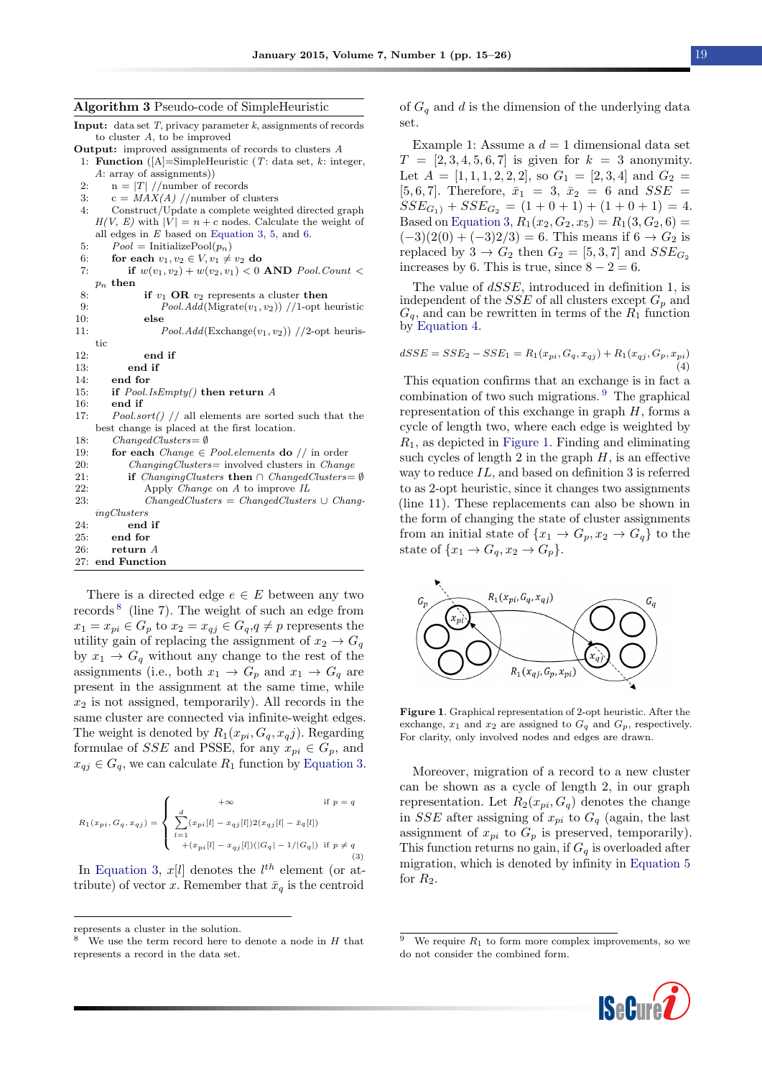<span id="page-4-0"></span>Algorithm 3 Pseudo-code of SimpleHeuristic

**Input:** data set  $T$ , privacy parameter  $k$ , assignments of records to cluster A, to be improved

- Output: improved assignments of records to clusters A
- 1: Function ( $[A]$ =SimpleHeuristic (T: data set, k: integer, A: array of assignments))
- 2:  $n = |T| / \text{number of records}$
- 3:  $c = MAX(A) //$ number of clusters
- 4: Construct/Update a complete weighted directed graph  $H(V, E)$  with  $|V| = n + c$  nodes. Calculate the weight of all edges in E based on [Equation 3,](#page-4-1) [5,](#page-4-2) and [6.](#page-5-0)
- 5:  $Pool = InitializePool(p_n)$ <br>6: **for each**  $v_1, v_2 \in V, v_1 \neq$
- 6: for each  $v_1, v_2 \in V$ ,  $v_1 \neq v_2$  do<br>7: if  $w(v_1, v_2) + w(v_2, v_1) < 0$
- if  $w(v_1, v_2) + w(v_2, v_1) < 0$  AND Pool.Count <  $p_n$  then
- 8: **if**  $v_1$  **OR**  $v_2$  represents a cluster **then**<br>9.  $\begin{bmatrix} P_{QQ} & \frac{1}{2} \frac{1}{2} \frac{1}{2} \frac{1}{2} \frac{1}{2} \frac{1}{2} \frac{1}{2} \frac{1}{2} \frac{1}{2} \frac{1}{2} \frac{1}{2} \frac{1}{2} \frac{1}{2} \frac{1}{2} \frac{1}{2} \frac{1}{2} \frac{1}{2} \frac{1}{2} \frac{1}{2} \frac{1}{2} \frac{1}{2} \frac{1}{$ 9:  $PoolAdd(\text{Migrate}(v_1, v_2)) // 1-opt\text{ heuristic}$ <br>10: **else** else
- 11:  $PoolAdd(Exchange(v_1, v_2))$  //2-opt heuris-

tic 12: end if 13: end if 14: end for

- 15: if  $Pool.IsEmpty()$  then return A
- 16: end if
- 17: Pool.sort() // all elements are sorted such that the best change is placed at the first location. 18: ChangedClusters= ∅
- 19: for each *Change*  $\in$  *Pool.elements* do // in order
- 20: ChangingClusters= involved clusters in Change
- 21: **if** *ChangingClusters* **then** ∩ *ChangedClusters* = Ø 22: Apply Change on A to improve IL<br>
23: ChangedClusters = ChangedCluster  $\overrightarrow{ChangedClusters} = \overrightarrow{ChangedClusters} \cup \overrightarrow{ChangelClusters}$ ingClusters 24: end if 25: end for

```
26: return A
27: end Function
```
There is a directed edge  $e \in E$  between any two records<sup>[8](#page-4-3)</sup> (line 7). The weight of such an edge from  $x_1 = x_{pi} \in G_p$  to  $x_2 = x_{qj} \in G_q$ ,  $q \neq p$  represents the utility gain of replacing the assignment of  $x_2 \rightarrow G_q$ by  $x_1 \rightarrow G_q$  without any change to the rest of the assignments (i.e., both  $x_1 \rightarrow G_p$  and  $x_1 \rightarrow G_q$  are present in the assignment at the same time, while  $x_2$  is not assigned, temporarily). All records in the same cluster are connected via infinite-weight edges. The weight is denoted by  $R_1(x_{pi}, G_q, x_q j)$ . Regarding formulae of *SSE* and PSSE, for any  $x_{pi} \in G_p$ , and  $x_{qj} \in G_q$ , we can calculate  $R_1$  function by [Equation 3.](#page-4-1)

<span id="page-4-1"></span>
$$
R_1(x_{pi},G_q,x_{qj}) = \left\{ \begin{array}{ll} +\infty & \mbox{if } p = q \\ \\ \sum_{l=1}^d (x_{pi}[l] - x_{qj}[l]) 2(x_{qj}[l] - \bar{x}_q[l]) \\ + (x_{pi}[l] - x_{qj}[l]) (|G_q| - 1/|G_q|) & \mbox{if } p \neq q \end{array} \right. \tag{3}
$$

In [Equation 3,](#page-4-1)  $x[l]$  denotes the  $l^{th}$  element (or attribute) of vector x. Remember that  $\bar{x}_q$  is the centroid

represents a cluster in the solution.

<span id="page-4-3"></span>We use the term record here to denote a node in  $H$  that represents a record in the data set.

of  $G_q$  and d is the dimension of the underlying data set.

Example 1: Assume a  $d = 1$  dimensional data set  $T = [2, 3, 4, 5, 6, 7]$  is given for  $k = 3$  anonymity. Let  $A = \begin{bmatrix} 1, 1, 1, 2, 2, 2 \end{bmatrix}$ , so  $G_1 = \begin{bmatrix} 2, 3, 4 \end{bmatrix}$  and  $G_2 =$ [5, 6, 7]. Therefore,  $\bar{x}_1 = 3$ ,  $\bar{x}_2 = 6$  and  $SSE =$  $SSE_{G_1} + SSE_{G_2} = (1 + 0 + 1) + (1 + 0 + 1) = 4.$ Based on [Equation 3,](#page-4-1)  $R_1(x_2, G_2, x_5) = R_1(3, G_2, 6) =$  $(-3)(2(0) + (-3)2/3) = 6$ . This means if  $6 \rightarrow G_2$  is replaced by  $3 \rightarrow G_2$  then  $G_2 = [5, 3, 7]$  and  $SSE_{G_2}$ increases by 6. This is true, since  $8 - 2 = 6$ .

The value of  $dSSE$ , introduced in definition 1, is independent of the  $SSE$  of all clusters except  $G_p$  and  $G_q$ , and can be rewritten in terms of the  $R_1$  function by [Equation 4.](#page-4-4)

<span id="page-4-4"></span>
$$
dSSE = SSE_2 - SSE_1 = R_1(x_{pi}, G_q, x_{qj}) + R_1(x_{qj}, G_p, x_{pi})
$$
\n(4)

This equation confirms that an exchange is in fact a combination of two such migrations. [9](#page-4-5) The graphical representation of this exchange in graph  $H$ , forms a cycle of length two, where each edge is weighted by  $R_1$ , as depicted in [Figure 1.](#page-4-6) Finding and eliminating such cycles of length  $2$  in the graph  $H$ , is an effective way to reduce IL, and based on definition 3 is referred to as 2-opt heuristic, since it changes two assignments (line 11). These replacements can also be shown in the form of changing the state of cluster assignments from an initial state of  $\{x_1 \to G_p, x_2 \to G_q\}$  to the state of  $\{x_1 \rightarrow G_q, x_2 \rightarrow G_p\}.$ 

<span id="page-4-6"></span>

Figure 1. Graphical representation of 2-opt heuristic. After the exchange,  $x_1$  and  $x_2$  are assigned to  $G_q$  and  $G_p$ , respectively. For clarity, only involved nodes and edges are drawn.

Moreover, migration of a record to a new cluster can be shown as a cycle of length 2, in our graph representation. Let  $R_2(x_{pi}, G_q)$  denotes the change in SSE after assigning of  $x_{pi}$  to  $G_q$  (again, the last assignment of  $x_{pi}$  to  $G_p$  is preserved, temporarily). This function returns no gain, if  $G_q$  is overloaded after migration, which is denoted by infinity in [Equation 5](#page-4-2) for  $R_2$ .

<span id="page-4-5"></span><span id="page-4-2"></span>We require  $R_1$  to form more complex improvements, so we do not consider the combined form.

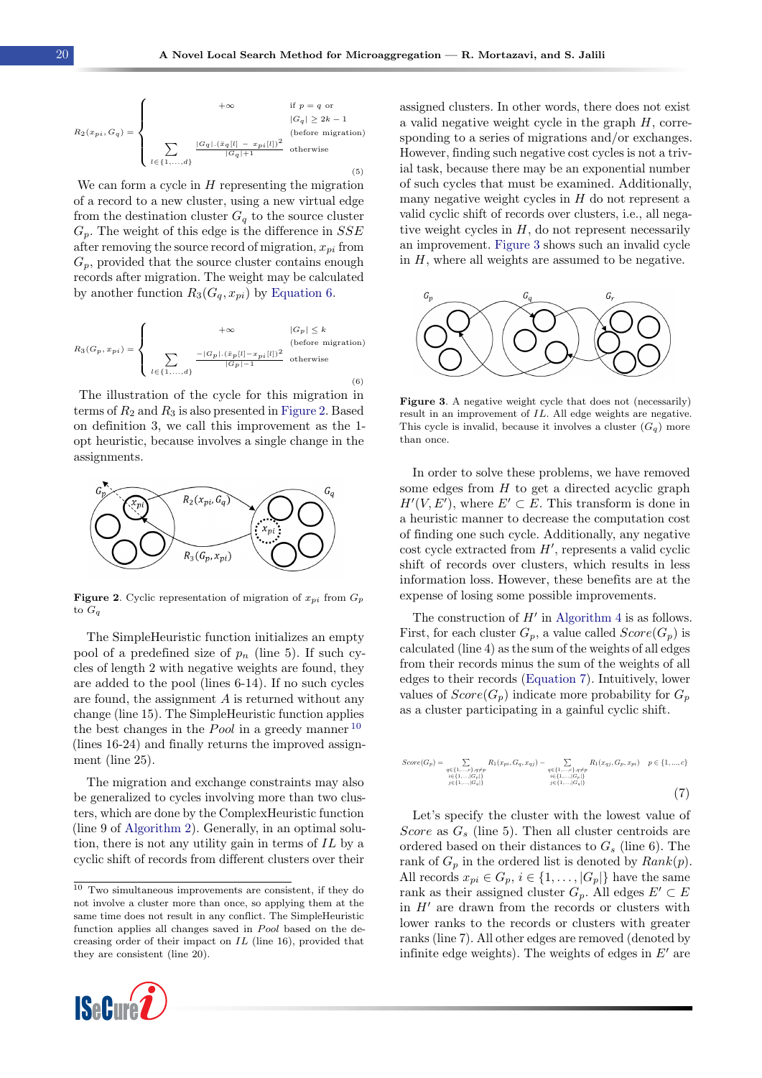$$
R_2(x_{pi},G_q) = \left\{ \begin{array}{cc} & +\infty & \text{if } p = q \text{ or} \\ & |G_q| \geq 2k-1 \\ & \text{(before migration)} \\ & \sum_{l \in \{1,...,d\}} \frac{|G_q|.(\bar{x}_q[l]-x_{pi}[l])^2}{|G_q|+1} & \text{otherwise} \end{array} \right. \tag{5}
$$

We can form a cycle in  $H$  representing the migration of a record to a new cluster, using a new virtual edge from the destination cluster  $G_q$  to the source cluster  $G_p$ . The weight of this edge is the difference in  $SSE$ after removing the source record of migration,  $x_{ni}$  from  $G_p$ , provided that the source cluster contains enough records after migration. The weight may be calculated by another function  $R_3(G_q, x_{pi})$  by [Equation 6.](#page-5-0)

<span id="page-5-0"></span>
$$
R_3(G_p, x_{pi}) = \left\{ \begin{array}{c} +\infty & |G_p| \leq k \\ \\ \sum\limits_{l \in \{1,...,d\}} \frac{-|G_p| . (\bar{x}_p[l] - x_{pi}[l])^2}{|G_p| - 1} & \text{otherwise} \end{array} \right. \tag{6}
$$

The illustration of the cycle for this migration in terms of  $R_2$  and  $R_3$  is also presented in [Figure 2.](#page-5-1) Based on definition 3, we call this improvement as the 1 opt heuristic, because involves a single change in the assignments.

<span id="page-5-1"></span>

**Figure 2.** Cyclic representation of migration of  $x_{pi}$  from  $G_p$ to  $G_q$ 

The SimpleHeuristic function initializes an empty pool of a predefined size of  $p_n$  (line 5). If such cycles of length 2 with negative weights are found, they are added to the pool (lines 6-14). If no such cycles are found, the assignment A is returned without any change (line 15). The SimpleHeuristic function applies the best changes in the *Pool* in a greedy manner  $10$ (lines 16-24) and finally returns the improved assignment (line 25).

The migration and exchange constraints may also be generalized to cycles involving more than two clusters, which are done by the ComplexHeuristic function (line 9 of [Algorithm 2\)](#page-3-3). Generally, in an optimal solution, there is not any utility gain in terms of IL by a cyclic shift of records from different clusters over their

<span id="page-5-2"></span> $\overline{10}$  Two simultaneous improvements are consistent, if they do not involve a cluster more than once, so applying them at the same time does not result in any conflict. The SimpleHeuristic function applies all changes saved in Pool based on the decreasing order of their impact on IL (line 16), provided that they are consistent (line 20).



assigned clusters. In other words, there does not exist a valid negative weight cycle in the graph  $H$ , corresponding to a series of migrations and/or exchanges. However, finding such negative cost cycles is not a trivial task, because there may be an exponential number of such cycles that must be examined. Additionally, many negative weight cycles in  $H$  do not represent a valid cyclic shift of records over clusters, i.e., all negative weight cycles in  $H$ , do not represent necessarily an improvement. [Figure 3](#page-5-3) shows such an invalid cycle in  $H$ , where all weights are assumed to be negative.

<span id="page-5-3"></span>

Figure 3. A negative weight cycle that does not (necessarily) result in an improvement of IL. All edge weights are negative. This cycle is invalid, because it involves a cluster  $(G_q)$  more than once.

In order to solve these problems, we have removed some edges from  $H$  to get a directed acyclic graph  $H'(V, E')$ , where  $E' \subset E$ . This transform is done in a heuristic manner to decrease the computation cost of finding one such cycle. Additionally, any negative  $\cot$  cycle extracted from  $H'$ , represents a valid cyclic shift of records over clusters, which results in less information loss. However, these benefits are at the expense of losing some possible improvements.

The construction of  $H'$  in [Algorithm 4](#page-6-1) is as follows. First, for each cluster  $G_p$ , a value called  $Score(G_p)$  is calculated (line 4) as the sum of the weights of all edges from their records minus the sum of the weights of all edges to their records [\(Equation 7\)](#page-5-4). Intuitively, lower values of  $Score(G_p)$  indicate more probability for  $G_p$ as a cluster participating in a gainful cyclic shift.

<span id="page-5-4"></span>
$$
Score(G_p) = \sum_{\substack{q \in \{1,\ldots,c\}, q \neq p \\ i \in \{1,\ldots,|\cal{G}_p|\} \\ j \in \{1,\ldots,|G_q|\}}} R_1(x_{pi},G_q,x_{qj}) - \sum_{\substack{q \in \{1,\ldots,c\}, q \neq p \\ i \in \{1,\ldots,|\cal{G}_p|\} \\ j \in \{1,\ldots,|G_q|\}}} R_1(x_{qj},G_p,x_{pi}) \quad p \in \{1,\ldots,c\} \tag{7}
$$

Let's specify the cluster with the lowest value of Score as  $G_s$  (line 5). Then all cluster centroids are ordered based on their distances to  $G_s$  (line 6). The rank of  $G_p$  in the ordered list is denoted by  $Rank(p)$ . All records  $x_{pi} \in G_p$ ,  $i \in \{1, \ldots, |G_p|\}$  have the same rank as their assigned cluster  $G_p$ . All edges  $E' \subset E$ in  $H'$  are drawn from the records or clusters with lower ranks to the records or clusters with greater ranks (line 7). All other edges are removed (denoted by infinite edge weights). The weights of edges in  $E'$  are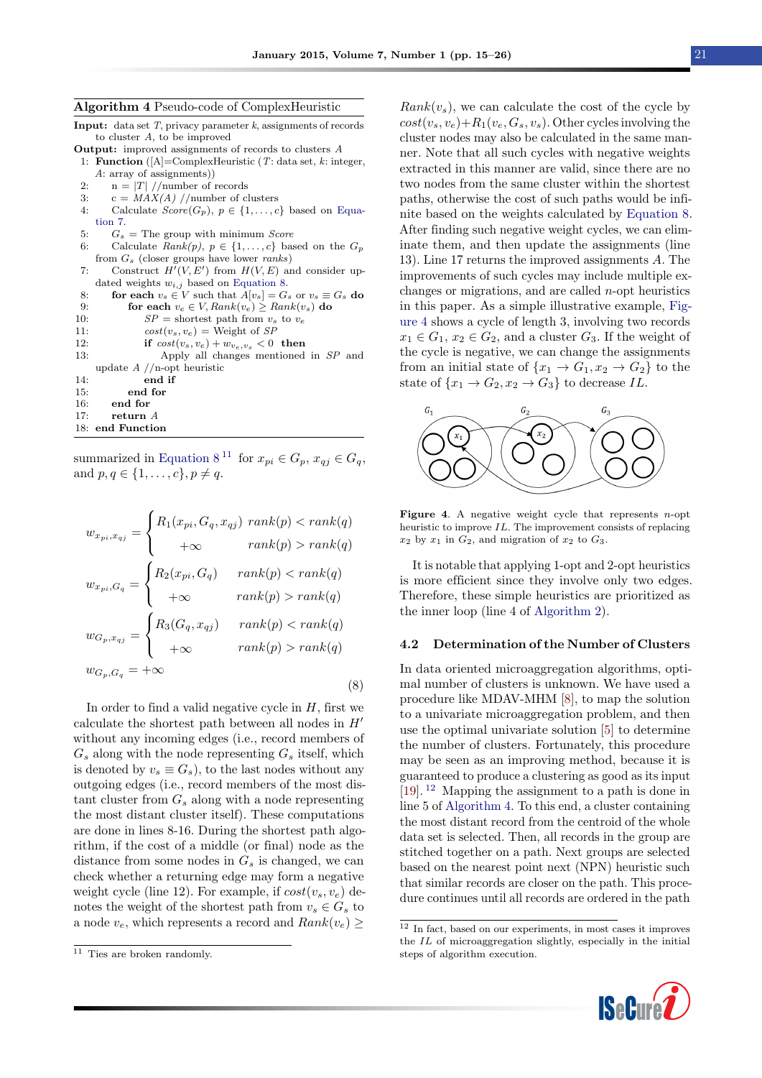<span id="page-6-1"></span>Algorithm 4 Pseudo-code of ComplexHeuristic

**Input:** data set  $T$ , privacy parameter  $k$ , assignments of records to cluster A, to be improved

Output: improved assignments of records to clusters A

- 1: Function ( $[A]$ =ComplexHeuristic (T: data set, k: integer, A: array of assignments))
- 2:  $n = |T| / \text{number of records}$
- 3:  $c = MAX(A) // number of clusters$
- 4: Calculate  $Score(G_p), p \in \{1, ..., c\}$  based on [Equa](#page-5-4)[tion 7.](#page-5-4)
- 5:  $G_s$  = The group with minimum *Score*
- 6: Calculate  $Rank(p), p \in \{1, \ldots, c\}$  based on the  $G_p$ from  $G_s$  (closer groups have lower *ranks*)
- 7: Construct  $H'(V, E')$  from  $H(V, E)$  and consider updated weights  $w_{i,j}$  based on [Equation 8.](#page-6-2) 8: **for each**  $v_s \in V$  such that  $A[v_s] = G_s$  or  $v_s \equiv G_s$  do

```
9: for each v_e \in V, Rank(v_e) \geq Rank(v_s) do 10: SP = shortest path from v_s to v_e10: SP = shortest path from v_s to v_e<br>11: cost(v_s, v_e) = Weight of SPcost(v_s, v_e) = \text{Weight of } SP12: if cost(v_s, v_e) + w_{v_e, v_s} < 0 then<br>13: Apply all changes mentioned
                       Apply all changes mentioned in SP and
     update A //n-opt heuristic
14: end if
```

```
15: end for
16: end for
```

```
17: return A
```
18: end Function

<span id="page-6-2"></span>summarized in [Equation 8](#page-6-2)<sup>[11](#page-6-3)</sup> for  $x_{pi} \in G_p$ ,  $x_{qj} \in G_q$ , and  $p, q \in \{1, ..., c\}, p \neq q$ .

$$
w_{x_{pi},x_{qj}} = \begin{cases} R_1(x_{pi}, G_q, x_{qj}) \ rank(p) < rank(q) \\ +\infty & rank(p) > rank(q) \end{cases}
$$
\n
$$
w_{x_{pi},G_q} = \begin{cases} R_2(x_{pi}, G_q) & rank(p) < rank(q) \\ +\infty & rank(p) > rank(q) \end{cases}
$$
\n
$$
w_{G_p, x_{qj}} = \begin{cases} R_3(G_q, x_{qj}) & rank(p) < rank(q) \\ +\infty & rank(p) < rank(q) \end{cases}
$$
\n
$$
w_{G_p, G_q} = +\infty
$$
\n
$$
(8)
$$

In order to find a valid negative cycle in  $H$ , first we calculate the shortest path between all nodes in  $H'$ without any incoming edges (i.e., record members of  $G_s$  along with the node representing  $G_s$  itself, which is denoted by  $v_s \equiv G_s$ , to the last nodes without any outgoing edges (i.e., record members of the most distant cluster from  $G_s$  along with a node representing the most distant cluster itself). These computations are done in lines 8-16. During the shortest path algorithm, if the cost of a middle (or final) node as the distance from some nodes in  $G_s$  is changed, we can check whether a returning edge may form a negative weight cycle (line 12). For example, if  $cost(v_s, v_e)$  denotes the weight of the shortest path from  $v_s \in G_s$  to a node  $v_e$ , which represents a record and  $Rank(v_e) \ge$ 

 $Rank(v<sub>s</sub>)$ , we can calculate the cost of the cycle by  $cost(v_s, v_e) + R_1(v_e, G_s, v_s)$ . Other cycles involving the cluster nodes may also be calculated in the same manner. Note that all such cycles with negative weights extracted in this manner are valid, since there are no two nodes from the same cluster within the shortest paths, otherwise the cost of such paths would be infinite based on the weights calculated by [Equation 8.](#page-6-2) After finding such negative weight cycles, we can eliminate them, and then update the assignments (line 13). Line 17 returns the improved assignments A. The improvements of such cycles may include multiple exchanges or migrations, and are called  $n$ -opt heuristics in this paper. As a simple illustrative example, [Fig](#page-6-4)[ure 4](#page-6-4) shows a cycle of length 3, involving two records  $x_1 \in G_1$ ,  $x_2 \in G_2$ , and a cluster  $G_3$ . If the weight of the cycle is negative, we can change the assignments from an initial state of  $\{x_1 \rightarrow G_1, x_2 \rightarrow G_2\}$  to the state of  $\{x_1 \rightarrow G_2, x_2 \rightarrow G_3\}$  to decrease IL.

<span id="page-6-4"></span>

**Figure 4.** A negative weight cycle that represents  $n$ -opt heuristic to improve IL. The improvement consists of replacing  $x_2$  by  $x_1$  in  $G_2$ , and migration of  $x_2$  to  $G_3$ .

It is notable that applying 1-opt and 2-opt heuristics is more efficient since they involve only two edges. Therefore, these simple heuristics are prioritized as the inner loop (line 4 of [Algorithm 2\)](#page-3-3).

#### <span id="page-6-0"></span>4.2 Determination of the Number of Clusters

In data oriented microaggregation algorithms, optimal number of clusters is unknown. We have used a procedure like MDAV-MHM [\[8\]](#page-10-10), to map the solution to a univariate microaggregation problem, and then use the optimal univariate solution [\[5\]](#page-10-4) to determine the number of clusters. Fortunately, this procedure may be seen as an improving method, because it is guaranteed to produce a clustering as good as its input [\[19\]](#page-11-1). [12](#page-6-5) Mapping the assignment to a path is done in line 5 of [Algorithm 4.](#page-6-1) To this end, a cluster containing the most distant record from the centroid of the whole data set is selected. Then, all records in the group are stitched together on a path. Next groups are selected based on the nearest point next (NPN) heuristic such that similar records are closer on the path. This procedure continues until all records are ordered in the path

<span id="page-6-5"></span><sup>12</sup> In fact, based on our experiments, in most cases it improves the IL of microaggregation slightly, especially in the initial steps of algorithm execution.



<span id="page-6-3"></span> $\overline{11}$  Ties are broken randomly.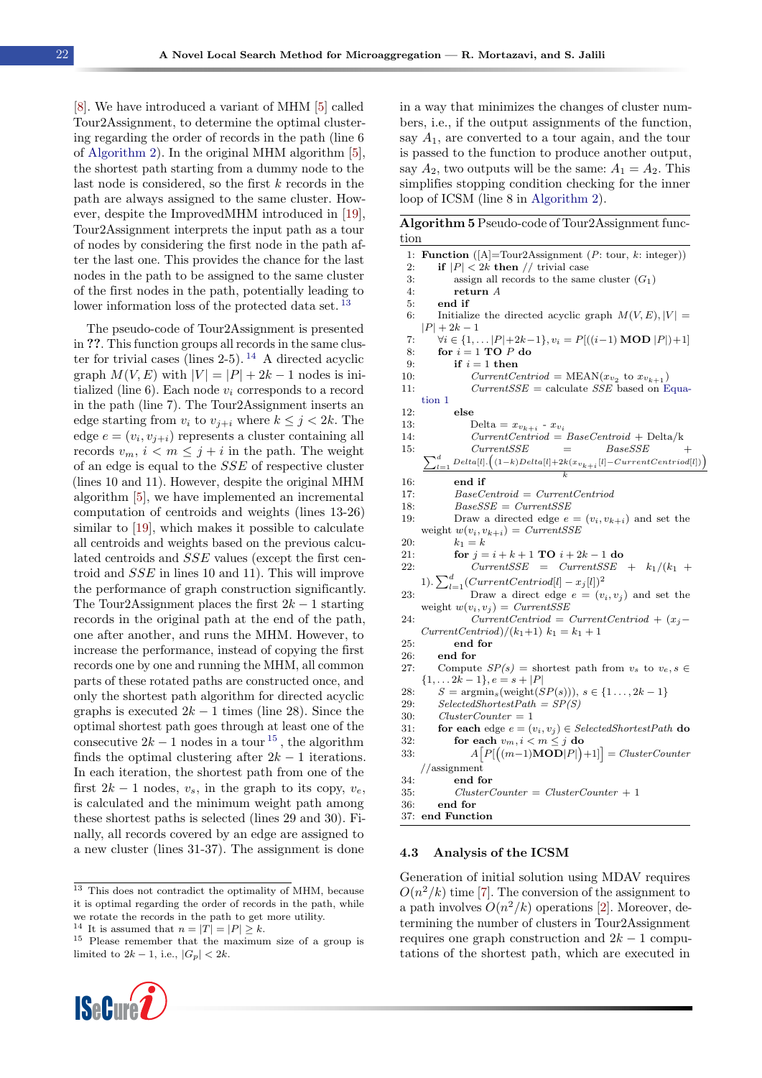[\[8\]](#page-10-10). We have introduced a variant of MHM [\[5\]](#page-10-4) called Tour2Assignment, to determine the optimal clustering regarding the order of records in the path (line 6 of [Algorithm 2\)](#page-3-3). In the original MHM algorithm [\[5\]](#page-10-4), the shortest path starting from a dummy node to the last node is considered, so the first  $k$  records in the path are always assigned to the same cluster. However, despite the ImprovedMHM introduced in [\[19\]](#page-11-1), Tour2Assignment interprets the input path as a tour of nodes by considering the first node in the path after the last one. This provides the chance for the last nodes in the path to be assigned to the same cluster of the first nodes in the path, potentially leading to lower information loss of the protected data set. [13](#page-7-1)

The pseudo-code of Tour2Assignment is presented in ??. This function groups all records in the same cluster for trivial cases (lines  $2-5$ ). <sup>[14](#page-7-2)</sup> A directed acyclic graph  $M(V, E)$  with  $|V| = |P| + 2k - 1$  nodes is initialized (line 6). Each node  $v_i$  corresponds to a record in the path (line 7). The Tour2Assignment inserts an edge starting from  $v_i$  to  $v_{i+i}$  where  $k \leq j < 2k$ . The edge  $e = (v_i, v_{j+i})$  represents a cluster containing all records  $v_m$ ,  $i < m \leq j + i$  in the path. The weight of an edge is equal to the SSE of respective cluster (lines 10 and 11). However, despite the original MHM algorithm [\[5\]](#page-10-4), we have implemented an incremental computation of centroids and weights (lines 13-26) similar to [\[19\]](#page-11-1), which makes it possible to calculate all centroids and weights based on the previous calculated centroids and SSE values (except the first centroid and SSE in lines 10 and 11). This will improve the performance of graph construction significantly. The Tour2Assignment places the first  $2k - 1$  starting records in the original path at the end of the path, one after another, and runs the MHM. However, to increase the performance, instead of copying the first records one by one and running the MHM, all common parts of these rotated paths are constructed once, and only the shortest path algorithm for directed acyclic graphs is executed  $2k - 1$  times (line 28). Since the optimal shortest path goes through at least one of the consecutive  $2k - 1$  nodes in a tour <sup>[15](#page-7-3)</sup>, the algorithm finds the optimal clustering after  $2k - 1$  iterations. In each iteration, the shortest path from one of the first  $2k - 1$  nodes,  $v_s$ , in the graph to its copy,  $v_e$ , is calculated and the minimum weight path among these shortest paths is selected (lines 29 and 30). Finally, all records covered by an edge are assigned to a new cluster (lines 31-37). The assignment is done

<span id="page-7-3"></span><span id="page-7-2"></span> $^{14}$  It is assumed that  $n = |T| = |P| \geq k.$ 

<sup>15</sup> Please remember that the maximum size of a group is limited to  $2k - 1$ , i.e.,  $|G_p| < 2k$ .



in a way that minimizes the changes of cluster numbers, i.e., if the output assignments of the function, say  $A_1$ , are converted to a tour again, and the tour is passed to the function to produce another output, say  $A_2$ , two outputs will be the same:  $A_1 = A_2$ . This simplifies stopping condition checking for the inner loop of ICSM (line 8 in [Algorithm 2\)](#page-3-3).

|      | Algorithm 5 Pseudo-code of Tour2Assignment func- |  |
|------|--------------------------------------------------|--|
| tion |                                                  |  |

|     | 1: <b>Function</b> ( $[A]$ =Tour2Assignment ( <i>P</i> : tour, <i>k</i> : integer))            |
|-----|------------------------------------------------------------------------------------------------|
| 2:  | if $ P  < 2k$ then // trivial case                                                             |
| 3:  | assign all records to the same cluster $(G_1)$                                                 |
| 4:  | return A                                                                                       |
| 5:  | end if                                                                                         |
| 6:  | Initialize the directed acyclic graph $M(V, E),  V  =$                                         |
|     | $ P  + 2k - 1$                                                                                 |
| 7:  | $\forall i \in \{1, \ldots  P +2k-1\}, v_i = P[((i-1) \text{MOD }  P )+1]$                     |
| 8:  | for $i = 1$ TO $P$ do                                                                          |
| 9:  | if $i=1$ then                                                                                  |
| 10: | $CurrentCentroid = MEAN(x_{v_2} \text{ to } x_{v_{k+1}})$                                      |
| 11: | $Current SSE = calculate SSE$ based on Equa-                                                   |
|     | tion 1                                                                                         |
| 12: | $_{\rm else}$                                                                                  |
| 13. | Delta = $x_{v_{k+i}}$ - $x_{v_i}$                                                              |
| 14: | $CurrentCentroid = BaseCentroid + Delta/k$                                                     |
| 15: | Current SSE<br><i>BaseSSE</i><br>$=$<br>$\, + \,$                                              |
|     | $\sum_{l=1}^d\Delta{Delta[l]}. \Big((1-k)Delta[l]+2k(x_{v_{k+i}}[l]-CurrentCentroid[l])\Big).$ |
|     |                                                                                                |
| 16: | end if                                                                                         |
| 17: | $BaseCentroid = CurrentCentroid$                                                               |
| 18: | $BaseSSE = CurrentSSE$                                                                         |
| 19: | Draw a directed edge $e = (v_i, v_{k+i})$ and set the                                          |
|     | weight $w(v_i, v_{k+i}) = CurrentSSE$                                                          |
| 20: | $k_1 = k$                                                                                      |
| 21. | for $j = i + k + 1$ TO $i + 2k - 1$ do                                                         |
| 22: | $CurrentSSE = CurrentSSE + k_1/(k_1 +$                                                         |
|     | 1). $\sum_{l=1}^{d} (CurrentCentroid[l] - x_j[l])^2$                                           |
| 23. | Draw a direct edge $e = (v_i, v_j)$ and set the                                                |
|     | weight $w(v_i, v_j) = CurrentSSE$                                                              |
| 24: | $CurrentCentroid = CurrentCentroid + (x_j -$                                                   |
|     | $CurrentCentroid)/(k_1+1)$ $k_1 = k_1 + 1$                                                     |
| 25. | end for                                                                                        |
| 26: | end for                                                                                        |
| 27: | Compute $SP(s)$ = shortest path from $v_s$ to $v_e, s \in$                                     |
|     | $\{1, \ldots 2k-1\}, e = s +  P $                                                              |
| 28. | $S = \operatorname{argmin}_s(\operatorname{weight}(SP(s))), s \in \{1 \ldots, 2k-1\}$          |
| 29: | $SelectedShortestPath = SP(S)$                                                                 |
| 30: | $ClusterCounter = 1$                                                                           |
| 31. | for each edge $e = (v_i, v_j) \in SelectedShortestPath$ do                                     |
| 32. | for each $v_m, i < m \leq j$ do                                                                |
| 33: | $A[P[((m-1) \textbf{MOD} P )+1]]=ClusterCounter$                                               |
|     | $//$ assignment                                                                                |
| 34. | end for                                                                                        |
| 35. | $ClusterCounter = ClusterCounter + 1$                                                          |
| 36: | end for                                                                                        |
| 37. | end Function                                                                                   |
|     |                                                                                                |

#### <span id="page-7-0"></span>4.3 Analysis of the ICSM

Generation of initial solution using MDAV requires  $O(n^2/k)$  time [\[7\]](#page-10-6). The conversion of the assignment to a path involves  $O(n^2/k)$  operations [\[2\]](#page-10-1). Moreover, determining the number of clusters in Tour2Assignment requires one graph construction and  $2k - 1$  computations of the shortest path, which are executed in

<span id="page-7-1"></span> $13$  This does not contradict the optimality of MHM, because it is optimal regarding the order of records in the path, while we rotate the records in the path to get more utility.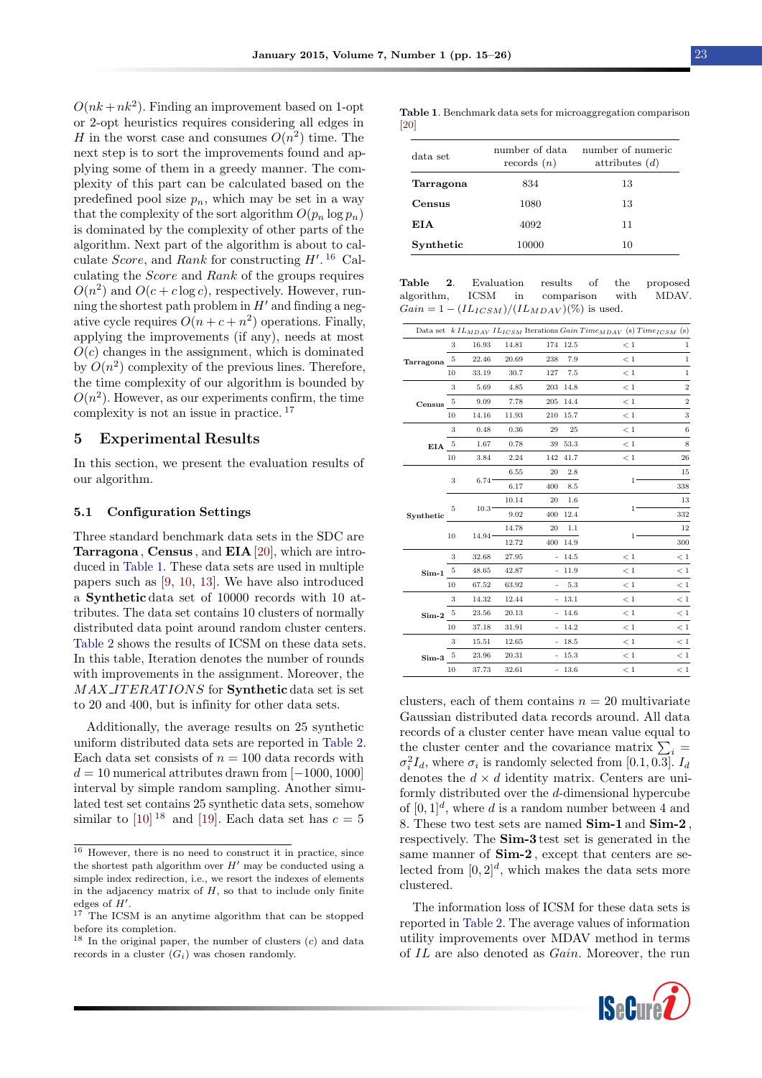$O(nk + nk^2)$ . Finding an improvement based on 1-opt or 2-opt heuristics requires considering all edges in H in the worst case and consumes  $O(n^2)$  time. The next step is to sort the improvements found and applying some of them in a greedy manner. The complexity of this part can be calculated based on the predefined pool size  $p_n$ , which may be set in a way that the complexity of the sort algorithm  $O(p_n \log p_n)$ is dominated by the complexity of other parts of the algorithm. Next part of the algorithm is about to calculate *Score*, and *Rank* for constructing  $H'$ . <sup>[16](#page-8-1)</sup> Calculating the Score and Rank of the groups requires  $O(n^2)$  and  $O(c + c \log c)$ , respectively. However, running the shortest path problem in  $H'$  and finding a negative cycle requires  $O(n + c + n^2)$  operations. Finally, applying the improvements (if any), needs at most  $O(c)$  changes in the assignment, which is dominated by  $O(n^2)$  complexity of the previous lines. Therefore, the time complexity of our algorithm is bounded by  $O(n^2)$ . However, as our experiments confirm, the time complexity is not an issue in practice. [17](#page-8-2)

#### <span id="page-8-0"></span>5 Experimental Results

In this section, we present the evaluation results of our algorithm.

#### 5.1 Configuration Settings

Three standard benchmark data sets in the SDC are Tarragona , Census , and EIA [\[20\]](#page-11-2), which are introduced in [Table 1.](#page-8-3) These data sets are used in multiple papers such as [\[9,](#page-10-9) [10,](#page-10-11) [13\]](#page-10-12). We have also introduced a Synthetic data set of 10000 records with 10 attributes. The data set contains 10 clusters of normally distributed data point around random cluster centers. [Table 2](#page-8-4) shows the results of ICSM on these data sets. In this table, Iteration denotes the number of rounds with improvements in the assignment. Moreover, the MAX\_ITERATIONS for **Synthetic** data set is set to 20 and 400, but is infinity for other data sets.

Additionally, the average results on 25 synthetic uniform distributed data sets are reported in [Table 2.](#page-8-4) Each data set consists of  $n = 100$  data records with  $d = 10$  numerical attributes drawn from [-1000, 1000] interval by simple random sampling. Another simulated test set contains 25 synthetic data sets, somehow similar to [\[10\]](#page-10-11)<sup>[18](#page-8-5)</sup> and [\[19\]](#page-11-1). Each data set has  $c = 5$ 

<span id="page-8-3"></span>Table 1. Benchmark data sets for microaggregation comparison [\[20\]](#page-11-2)

| data set  | number of data<br>records $(n)$ | number of numeric<br>attributes $(d)$ |
|-----------|---------------------------------|---------------------------------------|
| Tarragona | 834                             | 13                                    |
| Census    | 1080                            | 13                                    |
| EIA       | 4092                            | 11                                    |
| Synthetic | 10000                           | 10                                    |

<span id="page-8-4"></span>Table 2. Evaluation results of the proposed algorithm, ICSM in comparison with MDAV.  $Gain = 1 - (IL_{ICSM})/(IL_{MDAV})(\%)$  is used.

|                        |    |                   |       |                          |          | Data set k $IL_{MDAV} IL_{ICSM}$ Iterations Gain Time <sub>MDAV</sub> (s) Time <sub>ICSM</sub> (s) |                  |
|------------------------|----|-------------------|-------|--------------------------|----------|----------------------------------------------------------------------------------------------------|------------------|
|                        | 3  | 16.93             | 14.81 |                          | 174 12.5 | $\lt 1$                                                                                            | $\,1$            |
| Tarragona              | 5  | 22.46             | 20.69 | 238                      | 7.9      | <1                                                                                                 | $\mathbf{1}$     |
|                        | 10 | 33.19             | 30.7  | 127                      | 7.5      | < 1                                                                                                | $\mathbf 1$      |
|                        | 3  | 5.69              | 4.85  | 203                      | 14.8     | $\lt 1$                                                                                            | $\,2$            |
| Census                 | 5  | 9.09              | 7.78  | 205                      | 14.4     | < 1                                                                                                | $\overline{2}$   |
|                        | 10 | 14.16             | 11.93 | 210                      | 15.7     | < 1                                                                                                | 3                |
|                        | 3  | 0.48              | 0.36  | 29                       | 25       | < 1                                                                                                | $\boldsymbol{6}$ |
| EIA                    | 5  | 1.67              | 0.78  | 39                       | 53.3     | $\lt 1$                                                                                            | 8                |
|                        | 10 | 3.84              | 2.24  | 142                      | 41.7     | < 1                                                                                                | 26               |
|                        | 3  | 6.74              | 6.55  | 20                       | 2.8      |                                                                                                    | 15               |
|                        |    |                   | 6.17  | 400                      | 8.5      | $1^{\circ}$                                                                                        | 338              |
| Synthetic              | 5  | 10.3 <sup>°</sup> | 10.14 | 20                       | 1.6      |                                                                                                    | 13               |
|                        |    |                   | 9.02  | 400                      | 12.4     | $1^{\circ}$                                                                                        | 332              |
|                        |    |                   | 14.78 | 20                       | 1.1      |                                                                                                    | 12               |
|                        | 10 | 14.94             | 12.72 | 400                      | 14.9     | 1.                                                                                                 | 300              |
|                        | 3  | 32.68             | 27.95 | $\equiv$                 | 14.5     | < 1                                                                                                | < 1              |
| Sim-1 $^5$             |    | 48.65             | 42.87 | $\overline{\phantom{m}}$ | 11.9     | < 1                                                                                                | < 1              |
|                        | 10 | 67.52             | 63.92 |                          | 5.3      | $\lt 1$                                                                                            | $\lt 1$          |
|                        | 3  | 14.32             | 12.44 |                          | $-13.1$  | $<1\,$                                                                                             | < 1              |
| $\operatorname{Sim-2}$ | 5  | 23.56             | 20.13 |                          | $-14.6$  | $\lt 1$                                                                                            | $\lt 1$          |
|                        | 10 | 37.18             | 31.91 |                          | $-14.2$  | < 1                                                                                                | < 1              |
|                        | 3  | 15.51             | 12.65 |                          | $-18.5$  | $\lt 1$                                                                                            | $\lt1$           |
| $Sim-3$                | 5  | 23.96             | 20.31 |                          | $-15.3$  | < 1                                                                                                | < 1              |
|                        | 10 | 37.73             | 32.61 |                          | $-13.6$  | < 1                                                                                                | < 1              |

clusters, each of them contains  $n = 20$  multivariate Gaussian distributed data records around. All data records of a cluster center have mean value equal to the cluster center and the covariance matrix  $\sum_i$  =  $\sigma_i^2 I_d$ , where  $\sigma_i$  is randomly selected from [0.1, 0.3].  $I_d$ denotes the  $d \times d$  identity matrix. Centers are uniformly distributed over the d-dimensional hypercube of  $[0, 1]^d$ , where d is a random number between 4 and 8. These two test sets are named Sim-1 and Sim-2 , respectively. The Sim-3 test set is generated in the same manner of  $Sim-2$ , except that centers are selected from  $[0, 2]^d$ , which makes the data sets more clustered.

The information loss of ICSM for these data sets is reported in [Table 2.](#page-8-4) The average values of information utility improvements over MDAV method in terms of IL are also denoted as Gain. Moreover, the run



<span id="page-8-1"></span><sup>16</sup> However, there is no need to construct it in practice, since the shortest path algorithm over  $H'$  may be conducted using a simple index redirection, i.e., we resort the indexes of elements in the adjacency matrix of  $H$ , so that to include only finite edges of  $H'$ .

<span id="page-8-2"></span><sup>&</sup>lt;sup>17</sup> The ICSM is an anytime algorithm that can be stopped before its completion.

<span id="page-8-5"></span><sup>&</sup>lt;sup>18</sup> In the original paper, the number of clusters  $(c)$  and data records in a cluster  $(G_i)$  was chosen randomly.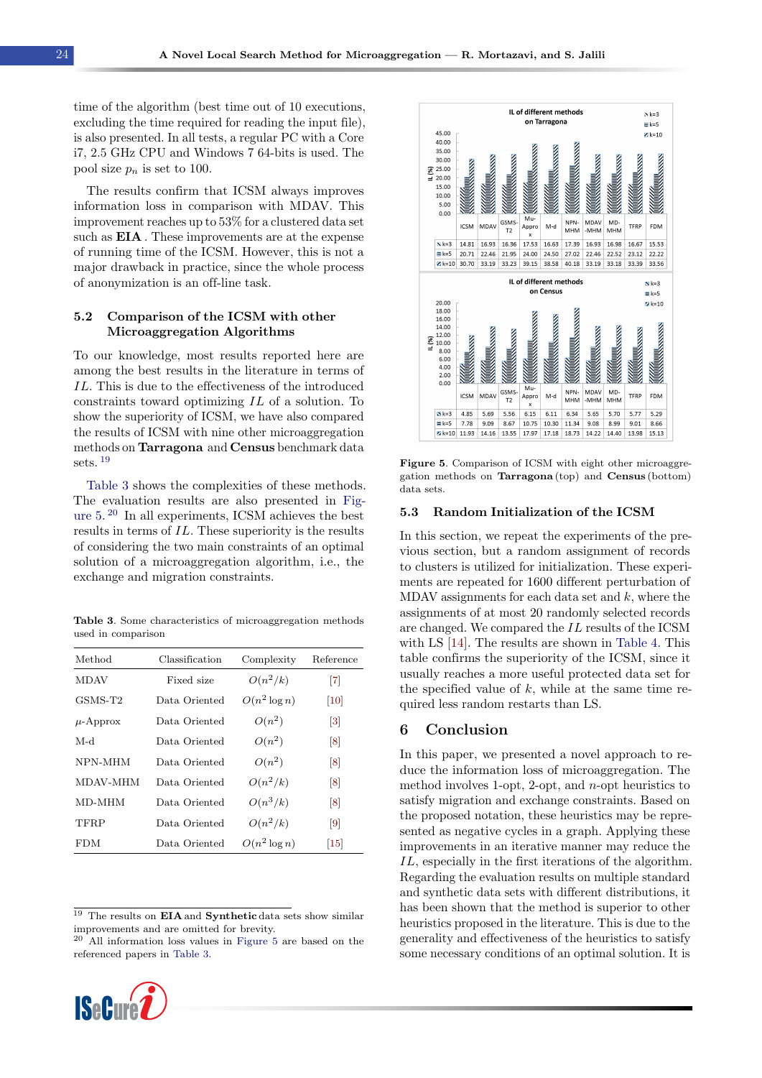time of the algorithm (best time out of 10 executions, excluding the time required for reading the input file), is also presented. In all tests, a regular PC with a Core i7, 2.5 GHz CPU and Windows 7 64-bits is used. The pool size  $p_n$  is set to 100.

The results confirm that ICSM always improves information loss in comparison with MDAV. This improvement reaches up to 53% for a clustered data set such as **EIA**. These improvements are at the expense of running time of the ICSM. However, this is not a major drawback in practice, since the whole process of anonymization is an off-line task.

### 5.2 Comparison of the ICSM with other Microaggregation Algorithms

To our knowledge, most results reported here are among the best results in the literature in terms of IL. This is due to the effectiveness of the introduced constraints toward optimizing IL of a solution. To show the superiority of ICSM, we have also compared the results of ICSM with nine other microaggregation methods on Tarragona and Census benchmark data sets. [19](#page-9-2)

[Table 3](#page-9-3) shows the complexities of these methods. The evaluation results are also presented in [Fig](#page-9-4)[ure 5.](#page-9-4) [20](#page-9-5) In all experiments, ICSM achieves the best results in terms of IL. These superiority is the results of considering the two main constraints of an optimal solution of a microaggregation algorithm, i.e., the exchange and migration constraints.

<span id="page-9-3"></span>Table 3. Some characteristics of microaggregation methods used in comparison

| Method              | Classification | Complexity      | Reference         |
|---------------------|----------------|-----------------|-------------------|
| <b>MDAV</b>         | Fixed size     | $O(n^2/k)$      | $\lceil 7 \rceil$ |
| GSMS-T <sub>2</sub> | Data Oriented  | $O(n^2 \log n)$ | $\left[10\right]$ |
| $\mu$ -Approx       | Data Oriented  | $O(n^2)$        | $\lceil 3 \rceil$ |
| M-d                 | Data Oriented  | $O(n^2)$        | $\lceil 8 \rceil$ |
| NPN-MHM             | Data Oriented  | $O(n^2)$        | $\lceil 8 \rceil$ |
| MDAV-MHM            | Data Oriented  | $O(n^2/k)$      | $\lceil 8 \rceil$ |
| MD-MHM              | Data Oriented  | $O(n^3/k)$      | $\lceil 8 \rceil$ |
| <b>TFRP</b>         | Data Oriented  | $O(n^2/k)$      | $\lceil 9 \rceil$ |
| <b>FDM</b>          | Data Oriented  | $O(n^2 \log n)$ | 15                |

<span id="page-9-2"></span><span id="page-9-1"></span> $19$  The results on **EIA** and **Synthetic** data sets show similar improvements and are omitted for brevity.

<span id="page-9-5"></span><sup>20</sup> All information loss values in [Figure 5](#page-9-4) are based on the referenced papers in [Table 3.](#page-9-3)



<span id="page-9-4"></span>

Figure 5. Comparison of ICSM with eight other microaggregation methods on Tarragona (top) and Census (bottom) data sets.

#### 5.3 Random Initialization of the ICSM

In this section, we repeat the experiments of the previous section, but a random assignment of records to clusters is utilized for initialization. These experiments are repeated for 1600 different perturbation of MDAV assignments for each data set and  $k$ , where the assignments of at most 20 randomly selected records are changed. We compared the IL results of the ICSM with LS [\[14\]](#page-10-13). The results are shown in [Table 4.](#page-10-17) This table confirms the superiority of the ICSM, since it usually reaches a more useful protected data set for the specified value of  $k$ , while at the same time required less random restarts than LS.

#### <span id="page-9-0"></span>6 Conclusion

In this paper, we presented a novel approach to reduce the information loss of microaggregation. The method involves 1-opt, 2-opt, and n-opt heuristics to satisfy migration and exchange constraints. Based on the proposed notation, these heuristics may be represented as negative cycles in a graph. Applying these improvements in an iterative manner may reduce the IL, especially in the first iterations of the algorithm. Regarding the evaluation results on multiple standard and synthetic data sets with different distributions, it has been shown that the method is superior to other heuristics proposed in the literature. This is due to the generality and effectiveness of the heuristics to satisfy some necessary conditions of an optimal solution. It is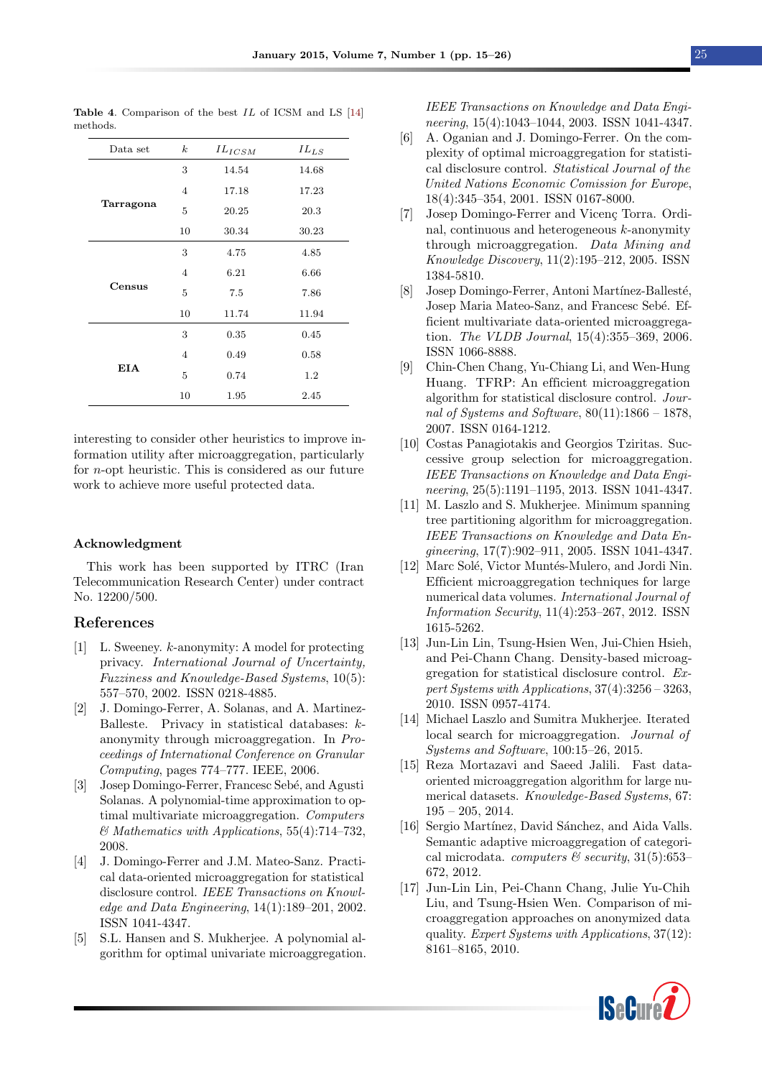| Data set  | $\boldsymbol{k}$ | $IL_{ICSM}$ | $IL_{LS}$ |
|-----------|------------------|-------------|-----------|
|           | 3                | 14.54       | 14.68     |
|           | $\overline{4}$   | 17.18       | 17.23     |
| Tarragona | 5                | 20.25       | 20.3      |
|           | 10               | 30.34       | 30.23     |
|           | 3                | 4.75        | 4.85      |
|           | $\overline{4}$   | 6.21        | 6.66      |
| Census    | 5                | 7.5         | 7.86      |
|           | 10               | 11.74       | 11.94     |
|           | 3                | 0.35        | 0.45      |
|           | $\overline{4}$   | 0.49        | 0.58      |
| EIA       | 5                | 0.74        | 1.2       |
|           | 10               | 1.95        | 2.45      |

<span id="page-10-17"></span>Table 4. Comparison of the best IL of ICSM and LS [\[14\]](#page-10-13) methods.

interesting to consider other heuristics to improve information utility after microaggregation, particularly for n-opt heuristic. This is considered as our future work to achieve more useful protected data.

#### Acknowledgment

This work has been supported by ITRC (Iran Telecommunication Research Center) under contract No. 12200/500.

#### References

- <span id="page-10-0"></span>[1] L. Sweeney. k-anonymity: A model for protecting privacy. International Journal of Uncertainty, Fuzziness and Knowledge-Based Systems, 10(5): 557–570, 2002. ISSN 0218-4885.
- <span id="page-10-1"></span>[2] J. Domingo-Ferrer, A. Solanas, and A. Martinez-Balleste. Privacy in statistical databases: kanonymity through microaggregation. In Proceedings of International Conference on Granular Computing, pages 774–777. IEEE, 2006.
- <span id="page-10-2"></span>[3] Josep Domingo-Ferrer, Francesc Sebé, and Agusti Solanas. A polynomial-time approximation to optimal multivariate microaggregation. Computers & Mathematics with Applications, 55(4):714–732, 2008.
- <span id="page-10-3"></span>[4] J. Domingo-Ferrer and J.M. Mateo-Sanz. Practical data-oriented microaggregation for statistical disclosure control. IEEE Transactions on Knowledge and Data Engineering, 14(1):189–201, 2002. ISSN 1041-4347.
- <span id="page-10-4"></span>[5] S.L. Hansen and S. Mukherjee. A polynomial algorithm for optimal univariate microaggregation.

IEEE Transactions on Knowledge and Data Engineering, 15(4):1043–1044, 2003. ISSN 1041-4347.

- <span id="page-10-5"></span>[6] A. Oganian and J. Domingo-Ferrer. On the complexity of optimal microaggregation for statistical disclosure control. Statistical Journal of the United Nations Economic Comission for Europe, 18(4):345–354, 2001. ISSN 0167-8000.
- <span id="page-10-6"></span>[7] Josep Domingo-Ferrer and Vicenç Torra. Ordinal, continuous and heterogeneous  $k$ -anonymity through microaggregation. Data Mining and Knowledge Discovery, 11(2):195–212, 2005. ISSN 1384-5810.
- <span id="page-10-10"></span>[8] Josep Domingo-Ferrer, Antoni Martínez-Ballesté, Josep Maria Mateo-Sanz, and Francesc Sebé. Efficient multivariate data-oriented microaggregation. The VLDB Journal, 15(4):355–369, 2006. ISSN 1066-8888.
- <span id="page-10-9"></span>[9] Chin-Chen Chang, Yu-Chiang Li, and Wen-Hung Huang. TFRP: An efficient microaggregation algorithm for statistical disclosure control. Journal of Systems and Software,  $80(11):1866 - 1878$ , 2007. ISSN 0164-1212.
- <span id="page-10-11"></span>[10] Costas Panagiotakis and Georgios Tziritas. Successive group selection for microaggregation. IEEE Transactions on Knowledge and Data Engineering, 25(5):1191–1195, 2013. ISSN 1041-4347.
- <span id="page-10-7"></span>[11] M. Laszlo and S. Mukherjee. Minimum spanning tree partitioning algorithm for microaggregation. IEEE Transactions on Knowledge and Data Engineering, 17(7):902–911, 2005. ISSN 1041-4347.
- <span id="page-10-8"></span>[12] Marc Solé, Victor Muntés-Mulero, and Jordi Nin. Efficient microaggregation techniques for large numerical data volumes. International Journal of Information Security, 11(4):253–267, 2012. ISSN 1615-5262.
- <span id="page-10-12"></span>[13] Jun-Lin Lin, Tsung-Hsien Wen, Jui-Chien Hsieh, and Pei-Chann Chang. Density-based microaggregation for statistical disclosure control. Expert Systems with Applications, 37(4):3256 – 3263, 2010. ISSN 0957-4174.
- <span id="page-10-13"></span>[14] Michael Laszlo and Sumitra Mukherjee. Iterated local search for microaggregation. Journal of Systems and Software, 100:15–26, 2015.
- <span id="page-10-14"></span>[15] Reza Mortazavi and Saeed Jalili. Fast dataoriented microaggregation algorithm for large numerical datasets. Knowledge-Based Systems, 67: 195 – 205, 2014.
- <span id="page-10-15"></span>[16] Sergio Martínez, David Sánchez, and Aida Valls. Semantic adaptive microaggregation of categorical microdata. *computers*  $\mathcal{C}$  security, 31(5):653– 672, 2012.
- <span id="page-10-16"></span>[17] Jun-Lin Lin, Pei-Chann Chang, Julie Yu-Chih Liu, and Tsung-Hsien Wen. Comparison of microaggregation approaches on anonymized data quality. Expert Systems with Applications, 37(12): 8161–8165, 2010.